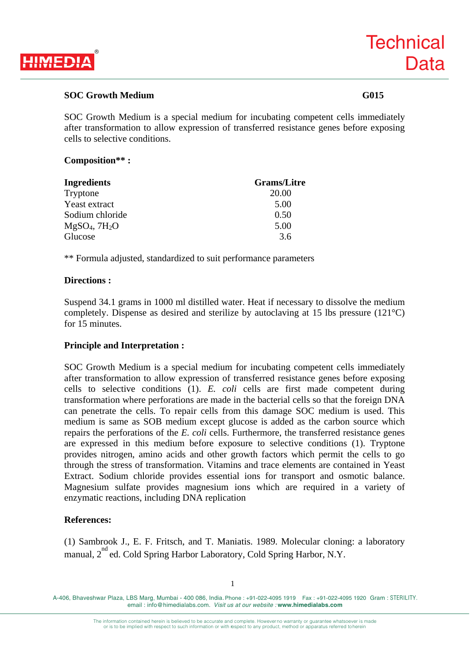

# **SOC Growth Medium G015**

SOC Growth Medium is a special medium for incubating competent cells immediately after transformation to allow expression of transferred resistance genes before exposing cells to selective conditions.

### **Composition\*\* :**

| <b>Ingredients</b>  | <b>Grams/Litre</b> |
|---------------------|--------------------|
| Tryptone            | 20.00              |
| Yeast extract       | 5.00               |
| Sodium chloride     | 0.50               |
| $MgSO_4$ , 7 $H_2O$ | 5.00               |
| Glucose             | 3.6                |

\*\* Formula adjusted, standardized to suit performance parameters

## **Directions :**

Suspend 34.1 grams in 1000 ml distilled water. Heat if necessary to dissolve the medium completely. Dispense as desired and sterilize by autoclaving at 15 lbs pressure (121°C) for 15 minutes.

# **Principle and Interpretation :**

SOC Growth Medium is a special medium for incubating competent cells immediately after transformation to allow expression of transferred resistance genes before exposing cells to selective conditions (1). *E. coli* cells are first made competent during transformation where perforations are made in the bacterial cells so that the foreign DNA can penetrate the cells. To repair cells from this damage SOC medium is used. This medium is same as SOB medium except glucose is added as the carbon source which repairs the perforations of the *E. coli* cells. Furthermore, the transferred resistance genes are expressed in this medium before exposure to selective conditions (1). Tryptone provides nitrogen, amino acids and other growth factors which permit the cells to go through the stress of transformation. Vitamins and trace elements are contained in Yeast Extract. Sodium chloride provides essential ions for transport and osmotic balance. Magnesium sulfate provides magnesium ions which are required in a variety of enzymatic reactions, including DNA replication

# **References:**

(1) Sambrook J., E. F. Fritsch, and T. Maniatis. 1989. Molecular cloning: a laboratory manual, 2<sup>nd</sup> ed. Cold Spring Harbor Laboratory, Cold Spring Harbor, N.Y.

A-406, Bhaveshwar Plaza, LBS Marg, Mumbai - 400 086, India. Phone : +91-022-4095 1919 Fax : +91-022-4095 1920 Gram : STERILITY. email : info@himedialabs.com. *Visit us at our website :* **www.himedialabs.com**